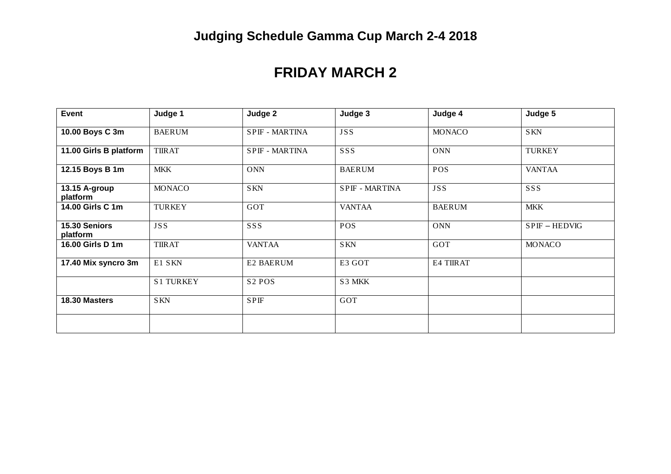## **FRIDAY MARCH 2**

| <b>Event</b>              | Judge 1          | Judge 2               | Judge 3        | Judge 4       | Judge 5         |
|---------------------------|------------------|-----------------------|----------------|---------------|-----------------|
| 10.00 Boys C 3m           | <b>BAERUM</b>    | <b>SPIF - MARTINA</b> | <b>JSS</b>     | <b>MONACO</b> | <b>SKN</b>      |
| 11.00 Girls B platform    | <b>TIIRAT</b>    | SPIF - MARTINA        | SSS            | <b>ONN</b>    | <b>TURKEY</b>   |
| 12.15 Boys B 1m           | <b>MKK</b>       | <b>ONN</b>            | <b>BAERUM</b>  | <b>POS</b>    | <b>VANTAA</b>   |
| 13.15 A-group<br>platform | <b>MONACO</b>    | <b>SKN</b>            | SPIF - MARTINA | <b>JSS</b>    | SSS             |
| 14.00 Girls C 1m          | <b>TURKEY</b>    | GOT                   | <b>VANTAA</b>  | <b>BAERUM</b> | <b>MKK</b>      |
| 15.30 Seniors<br>platform | <b>JSS</b>       | SSS                   | <b>POS</b>     | <b>ONN</b>    | $SPIF - HEDVIG$ |
| 16.00 Girls D 1m          | <b>TIIRAT</b>    | <b>VANTAA</b>         | <b>SKN</b>     | GOT           | <b>MONACO</b>   |
| 17.40 Mix syncro 3m       | E1 SKN           | E2 BAERUM             | E3 GOT         | E4 TIIRAT     |                 |
|                           | <b>S1 TURKEY</b> | S <sub>2</sub> POS    | S3 MKK         |               |                 |
| 18.30 Masters             | <b>SKN</b>       | <b>SPIF</b>           | GOT            |               |                 |
|                           |                  |                       |                |               |                 |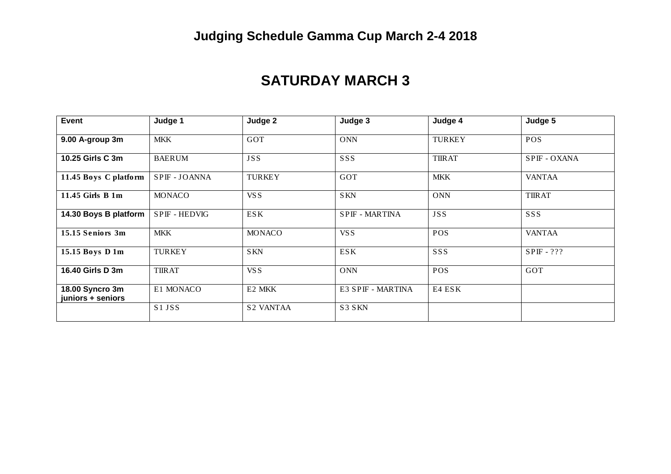## **Judging Schedule Gamma Cup March 2-4 2018**

## **SATURDAY MARCH 3**

| <b>Event</b>                         | Judge 1              | Judge 2          | Judge 3           | Judge 4       | Judge 5       |
|--------------------------------------|----------------------|------------------|-------------------|---------------|---------------|
| 9.00 A-group 3m                      | <b>MKK</b>           | GOT              | <b>ONN</b>        | <b>TURKEY</b> | <b>POS</b>    |
| 10.25 Girls C 3m                     | <b>BAERUM</b>        | <b>JSS</b>       | SSS               | <b>TIIRAT</b> | SPIF - OXANA  |
| 11.45 Boys C platform                | SPIF - JOANNA        | <b>TURKEY</b>    | GOT               | <b>MKK</b>    | <b>VANTAA</b> |
| 11.45 Girls B 1m                     | <b>MONACO</b>        | VS S             | <b>SKN</b>        | <b>ONN</b>    | <b>TIIRAT</b> |
| 14.30 Boys B platform                | <b>SPIF - HEDVIG</b> | <b>ESK</b>       | SPIF - MARTINA    | <b>JSS</b>    | SSS           |
| 15.15 Seniors 3m                     | <b>MKK</b>           | <b>MONACO</b>    | VS S              | POS           | <b>VANTAA</b> |
| 15.15 Boys D 1m                      | <b>TURKEY</b>        | <b>SKN</b>       | <b>ESK</b>        | SSS           | $SPIF - ???$  |
| 16.40 Girls D 3m                     | <b>TIIRAT</b>        | VS S             | <b>ONN</b>        | <b>POS</b>    | GOT           |
| 18.00 Syncro 3m<br>juniors + seniors | E1 MONACO            | E2 MKK           | E3 SPIF - MARTINA | E4 ESK        |               |
|                                      | S1 JSS               | <b>S2 VANTAA</b> | S3 SKN            |               |               |